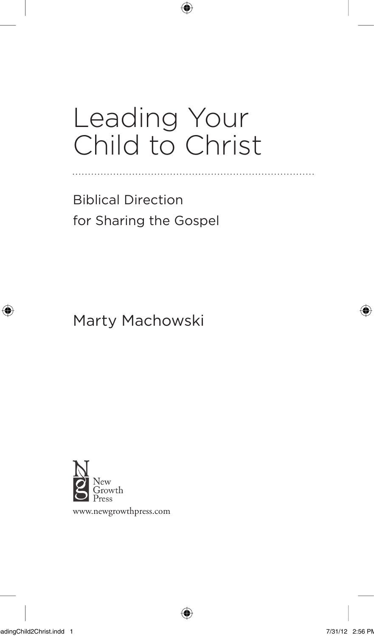## Leading Your Child to Christ

 $\bigoplus$ 

Biblical Direction for Sharing the Gospel

Marty Machowski



www.newgrowthpress.com

LeadingChild2Christ.indd 1 7/31/12 2:56 PM

⊕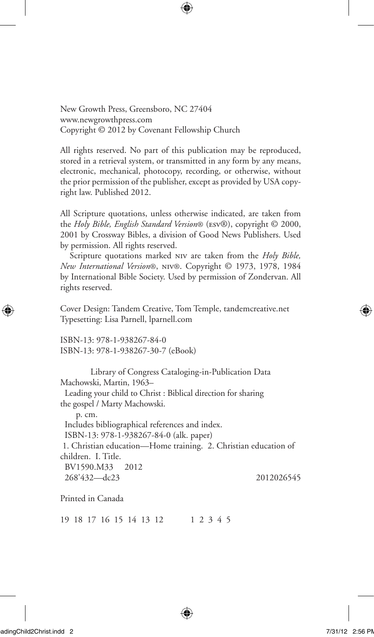New Growth Press, Greensboro, NC 27404 www.newgrowthpress.com Copyright © 2012 by Covenant Fellowship Church

All rights reserved. No part of this publication may be reproduced, stored in a retrieval system, or transmitted in any form by any means, electronic, mechanical, photocopy, recording, or otherwise, without the prior permission of the publisher, except as provided by USA copyright law. Published 2012.

All Scripture quotations, unless otherwise indicated, are taken from the *Holy Bible, English Standard Version*® (esv®), copyright © 2000, 2001 by Crossway Bibles, a division of Good News Publishers. Used by permission. All rights reserved.

Scripture quotations marked niv are taken from the *Holy Bible, New International Version*®, niv®. Copyright © 1973, 1978, 1984 by International Bible Society. Used by permission of Zondervan. All rights reserved.

Cover Design: Tandem Creative, Tom Temple, tandemcreative.net Typesetting: Lisa Parnell, lparnell.com

ISBN-13: 978-1-938267-84-0 ISBN-13: 978-1-938267-30-7 (eBook)

Library of Congress Cataloging-in-Publication Data Machowski, Martin, 1963–

Leading your child to Christ : Biblical direction for sharing the gospel / Marty Machowski.

 p. cm. Includes bibliographical references and index. ISBN-13: 978-1-938267-84-0 (alk. paper) 1. Christian education—Home training. 2. Christian education of children. I. Title. BV1590.M33 2012 268'432—dc23 2012026545

Printed in Canada

19 18 17 16 15 14 13 12 1 2 3 4 5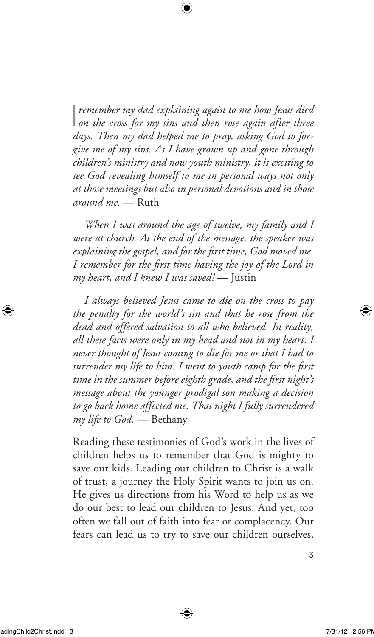I *remember my dad explaining again to me how Jesus died on the cross for my sins and then rose again after three days. Then my dad helped me to pray, asking God to forgive me of my sins. As I have grown up and gone through children's ministry and now youth ministry, it is exciting to see God revealing himself to me in personal ways not only at those meetings but also in personal devotions and in those around me.* — Ruth

⊕

*When I was around the age of twelve, my family and I were at church. At the end of the message, the speaker was explaining the gospel, and for the first time, God moved me. I remember for the first time having the joy of the Lord in my heart, and I knew I was saved!* — Justin

*I always believed Jesus came to die on the cross to pay the penalty for the world's sin and that he rose from the dead and offered salvation to all who believed. In reality, all these facts were only in my head and not in my heart. I never thought of Jesus coming to die for me or that I had to surrender my life to him. I went to youth camp for the first time in the summer before eighth grade, and the first night's message about the younger prodigal son making a decision to go back home affected me. That night I fully surrendered my life to God.* — Bethany

Reading these testimonies of God's work in the lives of children helps us to remember that God is mighty to save our kids. Leading our children to Christ is a walk of trust, a journey the Holy Spirit wants to join us on. He gives us directions from his Word to help us as we do our best to lead our children to Jesus. And yet, too often we fall out of faith into fear or complacency. Our fears can lead us to try to save our children ourselves,

⊕

3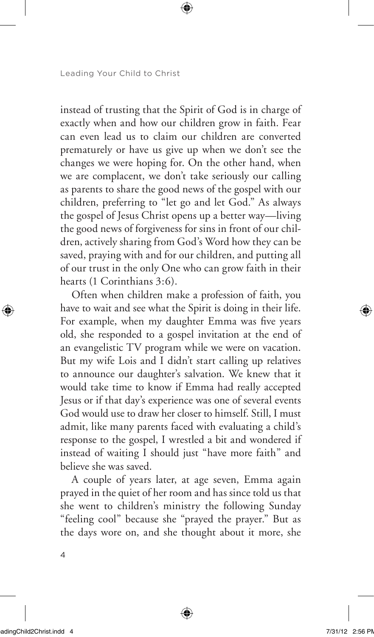Leading Your Child to Christ

instead of trusting that the Spirit of God is in charge of exactly when and how our children grow in faith. Fear can even lead us to claim our children are converted prematurely or have us give up when we don't see the changes we were hoping for. On the other hand, when we are complacent, we don't take seriously our calling as parents to share the good news of the gospel with our children, preferring to "let go and let God." As always the gospel of Jesus Christ opens up a better way—living the good news of forgiveness for sins in front of our children, actively sharing from God's Word how they can be saved, praying with and for our children, and putting all of our trust in the only One who can grow faith in their hearts (1 Corinthians 3:6).

Often when children make a profession of faith, you have to wait and see what the Spirit is doing in their life. For example, when my daughter Emma was five years old, she responded to a gospel invitation at the end of an evangelistic TV program while we were on vacation. But my wife Lois and I didn't start calling up relatives to announce our daughter's salvation. We knew that it would take time to know if Emma had really accepted Jesus or if that day's experience was one of several events God would use to draw her closer to himself. Still, I must admit, like many parents faced with evaluating a child's response to the gospel, I wrestled a bit and wondered if instead of waiting I should just "have more faith" and believe she was saved.

A couple of years later, at age seven, Emma again prayed in the quiet of her room and has since told us that she went to children's ministry the following Sunday "feeling cool" because she "prayed the prayer." But as the days wore on, and she thought about it more, she

⊕

4